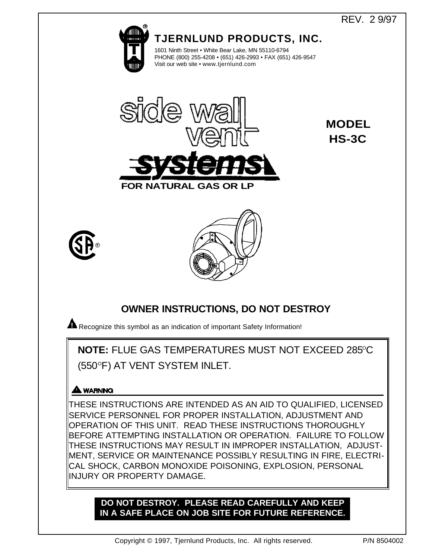# REV. 2 9/97

**MODEL**

**HS-3C**



**TJERNLUND PRODUCTS, INC.**

1601 Ninth Street • White Bear Lake, MN 55110-6794 PHONE (800) 255-4208 • (651) 426-2993 • FAX (651) 426-9547 Visit our web site • www.tjernlund.com



**NATURA** 





# **OWNER INSTRUCTIONS, DO NOT DESTROY**

**A** Recognize this symbol as an indication of important Safety Information!

**NOTE: FLUE GAS TEMPERATURES MUST NOT EXCEED 285°C** (550°F) AT VENT SYSTEM INLET.

# **A WARNING**

THESE INSTRUCTIONS ARE INTENDED AS AN AID TO QUALIFIED, LICENSED SERVICE PERSONNEL FOR PROPER INSTALLATION, ADJUSTMENT AND OPERATION OF THIS UNIT. READ THESE INSTRUCTIONS THOROUGHLY BEFORE ATTEMPTING INSTALLATION OR OPERATION. FAILURE TO FOLLOW THESE INSTRUCTIONS MAY RESULT IN IMPROPER INSTALLATION, ADJUST-MENT, SERVICE OR MAINTENANCE POSSIBLY RESULTING IN FIRE, ELECTRI-CAL SHOCK, CARBON MONOXIDE POISONING, EXPLOSION, PERSONAL INJURY OR PROPERTY DAMAGE.

# **DO NOT DESTROY. PLEASE READ CAREFULLY AND KEEP IN A SAFE PLACE ON JOB SITE FOR FUTURE REFERENCE.**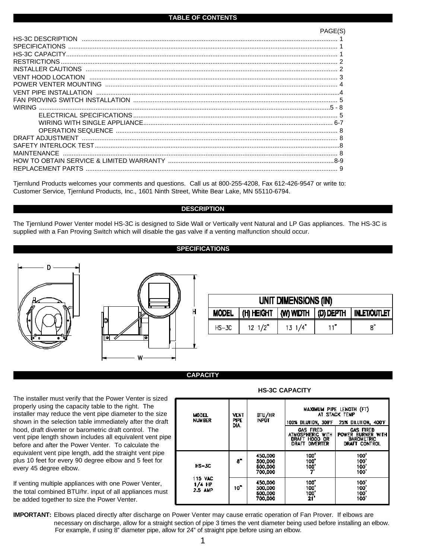| <b>HS-3C DESCRIPTION</b> |         |
|--------------------------|---------|
| <b>SPECIFICATIONS</b>    |         |
|                          |         |
|                          |         |
|                          |         |
|                          |         |
|                          |         |
|                          |         |
|                          |         |
| <b>WIRING</b>            | $5 - 8$ |
|                          |         |
|                          |         |
|                          |         |
| DRAFT ADJUSTMENT         |         |
|                          |         |
| MAINTENANCE              |         |
|                          |         |
| REPLACEMENT PARTS        |         |
|                          |         |

Tjernlund Products welcomes your comments and questions. Call us at 800-255-4208, Fax 612-426-9547 or write to: Customer Service, Tjernlund Products, Inc., 1601 Ninth Street, White Bear Lake, MN 55110-6794.

## **DESCRIPTION**

The Tjernlund Power Venter model HS-3C is designed to Side Wall or Vertically vent Natural and LP Gas appliances. The HS-3C is supplied with a Fan Proving Switch which will disable the gas valve if a venting malfunction should occur.

## **SPECIFICATIONS**





| UNIT DIMENSIONS (IN) |                                       |                  |     |                     |  |  |
|----------------------|---------------------------------------|------------------|-----|---------------------|--|--|
| <b>MODEL</b>         | $ (H)$ HEIGHT $ W $ Width $ D $ Depth |                  |     | <b>INLET/OUTLET</b> |  |  |
| $HS - 3C$            | $12 \frac{1}{2}$                      | $13 \frac{1}{4}$ | 11" | В.,                 |  |  |

## **CAPACITY**

The installer must verify that the Power Venter is sized properly using the capacity table to the right. The installer may reduce the vent pipe diameter to the size shown in the selection table immediately after the draft hood, draft diverter or barometric draft control. The vent pipe length shown includes all equivalent vent pipe before and after the Power Venter. To calculate the equivalent vent pipe length, add the straight vent pipe plus 10 feet for every 90 degree elbow and 5 feet for every 45 degree elbow.

If venting multiple appliances with one Power Venter, the total combined BTU/hr. input of all appliances must be added together to size the Power Venter.

| <b>MODEL</b><br><b>NUMBER</b>                    | <b>VENT</b><br><b>PIPE</b><br>DIA. | HTU/HR<br><b>INPÚT</b>                          | MAXIMUM PIPE LENGTH (FT)<br>AT STACK TFMP<br>100% DILUTION, 3D0°F 25% DILUTION, 400°F |                                                                                    |
|--------------------------------------------------|------------------------------------|-------------------------------------------------|---------------------------------------------------------------------------------------|------------------------------------------------------------------------------------|
|                                                  |                                    |                                                 | <b>GAS FIRED</b><br>ATMOSPHERIC WITH<br>DRAFT HOOD OR<br>DRAFT DIVERTER               | <b>CAS FIRED</b><br><b>POWER BURNER WITH</b><br><b>BAROMETRIC</b><br>DRAFT CONTROL |
| $HS-3C$<br><b>115 VAC</b><br>$1/4$ HP<br>2.5 AMP | 8"                                 | 450.000<br>500,000<br>600.000<br>700.000        | 100'<br>100'<br>100'                                                                  | 100<br>100<br>100'<br>100'                                                         |
|                                                  | 10°                                | 450,000<br>500.000<br><b>500.000</b><br>700.000 | 100'<br>100 <sup>*</sup><br>100'<br>21'                                               | 100<br>100<br>100<br>100                                                           |

**HS-3C CAPACITY**

**IMPORTANT:** Elbows placed directly after discharge on Power Venter may cause erratic operation of Fan Prover. If elbows are necessary on discharge, allow for a straight section of pipe 3 times the vent diameter being used before installing an elbow. For example, if using 8" diameter pipe, allow for 24" of straight pipe before using an elbow.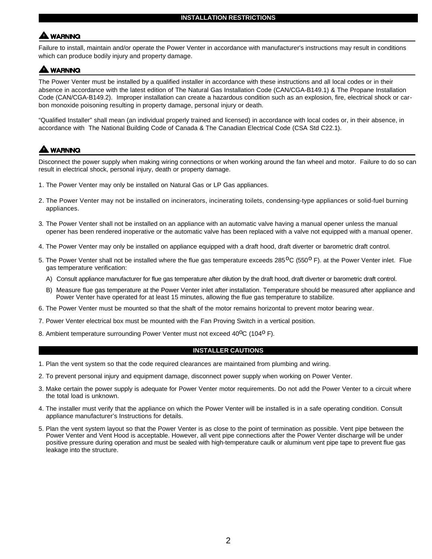## **WARNING**

Failure to install, maintain and/or operate the Power Venter in accordance with manufacturer's instructions may result in conditions which can produce bodily injury and property damage.

## **A WARNING**

The Power Venter must be installed by a qualified installer in accordance with these instructions and all local codes or in their absence in accordance with the latest edition of The Natural Gas Installation Code (CAN/CGA-B149.1) & The Propane Installation Code (CAN/CGA-B149.2). Improper installation can create a hazardous condition such as an explosion, fire, electrical shock or carbon monoxide poisoning resulting in property damage, personal injury or death.

"Qualified Installer" shall mean (an individual properly trained and licensed) in accordance with local codes or, in their absence, in accordance with The National Building Code of Canada & The Canadian Electrical Code (CSA Std C22.1).

## **WARNING**

Disconnect the power supply when making wiring connections or when working around the fan wheel and motor. Failure to do so can result in electrical shock, personal injury, death or property damage.

- 1. The Power Venter may only be installed on Natural Gas or LP Gas appliances.
- 2. The Power Venter may not be installed on incinerators, incinerating toilets, condensing-type appliances or solid-fuel burning appliances.
- 3. The Power Venter shall not be installed on an appliance with an automatic valve having a manual opener unless the manual opener has been rendered inoperative or the automatic valve has been replaced with a valve not equipped with a manual opener.
- 4. The Power Venter may only be installed on appliance equipped with a draft hood, draft diverter or barometric draft control.
- 5. The Power Venter shall not be installed where the flue gas temperature exceeds  $285^{\circ}C$  (550° F). at the Power Venter inlet. Flue gas temperature verification:
	- A) Consult appliance manufacturer for flue gas temperature after dilution by the draft hood, draft diverter or barometric draft control.
	- B) Measure flue gas temperature at the Power Venter inlet after installation. Temperature should be measured after appliance and Power Venter have operated for at least 15 minutes, allowing the flue gas temperature to stabilize.
- 6. The Power Venter must be mounted so that the shaft of the motor remains horizontal to prevent motor bearing wear.
- 7. Power Venter electrical box must be mounted with the Fan Proving Switch in a vertical position.
- 8. Ambient temperature surrounding Power Venter must not exceed 40<sup>o</sup>C (104<sup>o</sup> F).

<sup>4</sup>F444444**444444444444444 CAUTIONS**

## **INSTALLER CAUTIONS**

- 1. Plan the vent system so that the code required clearances are maintained from plumbing and wiring.
- 2. To prevent personal injury and equipment damage, disconnect power supply when working on Power Venter.
- 3. Make certain the power supply is adequate for Power Venter motor requirements. Do not add the Power Venter to a circuit where the total load is unknown.
- 4. The installer must verify that the appliance on which the Power Venter will be installed is in a safe operating condition. Consult appliance manufacturer's Instructions for details.
- 5. Plan the vent system layout so that the Power Venter is as close to the point of termination as possible. Vent pipe between the Power Venter and Vent Hood is acceptable. However, all vent pipe connections after the Power Venter discharge will be under positive pressure during operation and must be sealed with high-temperature caulk or aluminum vent pipe tape to prevent flue gas leakage into the structure.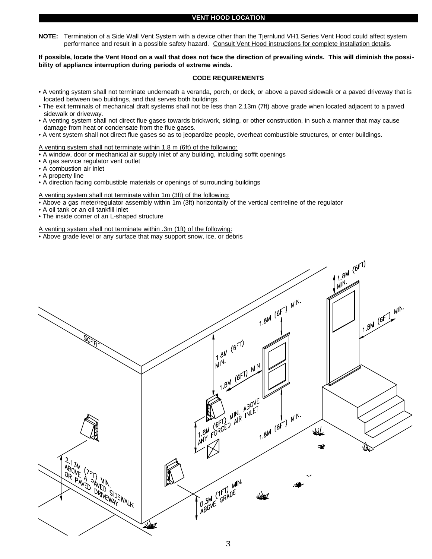## **VENT HOOD LOCATION**

**NOTE:** Termination of a Side Wall Vent System with a device other than the Tjernlund VH1 Series Vent Hood could affect system performance and result in a possible safety hazard. Consult Vent Hood instructions for complete installation details.

**If possible, locate the Vent Hood on a wall that does not face the direction of prevailing winds. This will diminish the possibility of appliance interruption during periods of extreme winds.**

## **CODE REQUIREMENTS**

- A venting system shall not terminate underneath a veranda, porch, or deck, or above a paved sidewalk or a paved driveway that is located between two buildings, and that serves both buildings.
- The exit terminals of mechanical draft systems shall not be less than 2.13m (7ft) above grade when located adjacent to a paved sidewalk or driveway.
- A venting system shall not direct flue gases towards brickwork, siding, or other construction, in such a manner that may cause damage from heat or condensate from the flue gases.
- A vent system shall not direct flue gases so as to jeopardize people, overheat combustible structures, or enter buildings.

## A venting system shall not terminate within 1.8 m (6ft) of the following:

- A window, door or mechanical air supply inlet of any building, including soffit openings
- A gas service regulator vent outlet
- A combustion air inlet
- A property line
- A direction facing combustible materials or openings of surrounding buildings

#### A venting system shall not terminate within 1m (3ft) of the following:

- Above a gas meter/regulator assembly within 1m (3ft) horizontally of the vertical centreline of the regulator
- A oil tank or an oil tankfill inlet
- The inside corner of an L-shaped structure

## A venting system shall not terminate within .3m (1ft) of the following:

• Above grade level or any surface that may support snow, ice, or debris

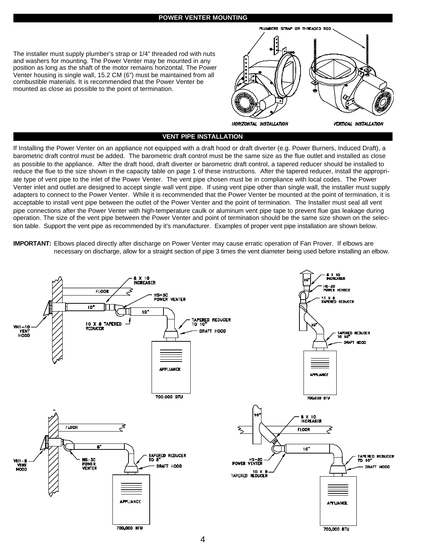## **POWER VENTER MOUNTING**



The installer must supply plumber's strap or 1/4" threaded rod with nuts and washers for mounting. The Power Venter may be mounted in any position as long as the shaft of the motor remains horizontal. The Power Venter housing is single wall, 15.2 CM (6") must be maintained from all combustible materials. It is recommended that the Power Venter be mounted as close as possible to the point of termination.

## **VENT PIPE INSTALLATION**

If Installing the Power Venter on an appliance not equipped with a draft hood or draft diverter (e.g. Power Burners, Induced Draft), a barometric draft control must be added. The barometric draft control must be the same size as the flue outlet and installed as close as possible to the appliance. After the draft hood, draft diverter or barometric draft control, a tapered reducer should be installed to reduce the flue to the size shown in the capacity table on page 1 of these instructions. After the tapered reducer, install the appropriate type of vent pipe to the inlet of the Power Venter. The vent pipe chosen must be in compliance with local codes. The Power Venter inlet and outlet are designed to accept single wall vent pipe. If using vent pipe other than single wall, the installer must supply adapters to connect to the Power Venter. While it is recommended that the Power Venter be mounted at the point of termination, it is acceptable to install vent pipe between the outlet of the Power Venter and the point of termination. The Installer must seal all vent pipe connections after the Power Venter with high-temperature caulk or aluminum vent pipe tape to prevent flue gas leakage during operation. The size of the vent pipe between the Power Venter and point of termination should be the same size shown on the selection table. Support the vent pipe as recommended by it's manufacturer. Examples of proper vent pipe installation are shown below.

**IMPORTANT:** Elbows placed directly after discharge on Power Venter may cause erratic operation of Fan Prover. If elbows are necessary on discharge, allow for a straight section of pipe 3 times the vent diameter being used before installing an elbow.

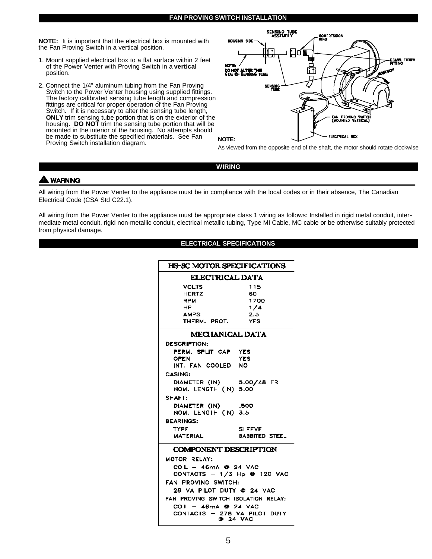## **FAN PROVING SWITCH INSTALLATION**

**NOTE:** It is important that the electrical box is mounted with the Fan Proving Switch in a vertical position.

- 1. Mount supplied electrical box to a flat surface within 2 feet of the Power Venter with Proving Switch in a **vertical** position.
- 2. Connect the 1/4" aluminum tubing from the Fan Proving Switch to the Power Venter housing using supplied fittings. The factory calibrated sensing tube length and compression fittings are critical for proper operation of the Fan Proving Switch. If it is necessary to alter the sensing tube length, **ONLY** trim sensing tube portion that is on the exterior of the housing. **DO NOT** trim the sensing tube portion that will be mounted in the interior of the housing. No attempts should be made to substitute the specified materials. See Fan Proving Switch installation diagram.



As viewed from the opposite end of the shaft, the motor should rotate clockwise.

**WIRING**

## **A WARNING**

All wiring from the Power Venter to the appliance must be in compliance with the local codes or in their absence, The Canadian Electrical Code (CSA Std C22.1).

All wiring from the Power Venter to the appliance must be appropriate class 1 wiring as follows: Installed in rigid metal conduit, intermediate metal conduit, rigid non-metallic conduit, electrical metallic tubing, Type MI Cable, MC cable or be otherwise suitably protected from physical damage.

| <b>HS-SC MOTOR SPECIFICATIONS</b>    |                  |  |  |  |  |
|--------------------------------------|------------------|--|--|--|--|
| <b>ELECTRICAL DATA</b>               |                  |  |  |  |  |
| VOLTS                                | 115              |  |  |  |  |
| <b>HERTZ</b>                         | 60               |  |  |  |  |
| <b>RPM</b>                           | 1700             |  |  |  |  |
| HP.                                  | 1/4              |  |  |  |  |
| <b>AMPS</b>                          | 7.5 <sub>1</sub> |  |  |  |  |
| THERM. PROT.                         | <b>YFS</b>       |  |  |  |  |
| <b>MECHANICAL DATA</b>               |                  |  |  |  |  |
| <b>DESCRIPTION:</b>                  |                  |  |  |  |  |
| PERM. SPLIT CAP YES                  |                  |  |  |  |  |
| OPEN                                 | <b>YES</b>       |  |  |  |  |
| INT. FAN COOLED NO                   |                  |  |  |  |  |
| <b>CASING:</b>                       |                  |  |  |  |  |
| DIAMETER (IN) 5.00/48 FR             |                  |  |  |  |  |
| NOM. LENGTH (IN) 5.00                |                  |  |  |  |  |
| SHAFT:                               |                  |  |  |  |  |
| DIAMETER (IN)                        | .500             |  |  |  |  |
| NOM. LENGTH (IN) 3.5                 |                  |  |  |  |  |
| <b>BEARINGS:</b>                     |                  |  |  |  |  |
| <b>TYPF</b>                          | <b>SIFFVE</b>    |  |  |  |  |
| <b>MATERIAL</b>                      | BABBITED STEEL   |  |  |  |  |
|                                      |                  |  |  |  |  |
| <b>COMPONENT DESCRIPTION</b>         |                  |  |  |  |  |
| MOTOR RELAY:                         |                  |  |  |  |  |
| $COL - 46mA$ $Q$ 24 VAC              |                  |  |  |  |  |
| CONTACTS $-1/3$ Hp $\otimes$ 120 VAC |                  |  |  |  |  |
| FAN PROVING SWITCH:                  |                  |  |  |  |  |
| 28 VA PILOT DUTY @ 24 VAC            |                  |  |  |  |  |
| FAN PROVING SWITCH ISOLATION RELAY:  |                  |  |  |  |  |
| COIL - $46mA$ @ 24 VAC               |                  |  |  |  |  |
| CONTACTS - 278 VA PILOT DUTY         |                  |  |  |  |  |
| <b>0 24 VAC</b>                      |                  |  |  |  |  |
|                                      |                  |  |  |  |  |

## **ELECTRICAL SPECIFICATIONS**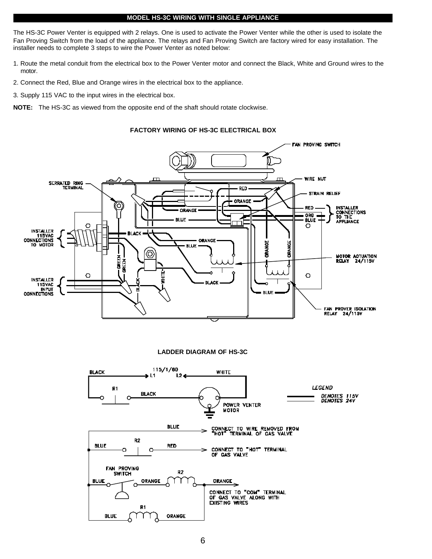## **MODEL HS-3C WIRING WITH SINGLE APPLIANCE**

The HS-3C Power Venter is equipped with 2 relays. One is used to activate the Power Venter while the other is used to isolate the Fan Proving Switch from the load of the appliance. The relays and Fan Proving Switch are factory wired for easy installation. The installer needs to complete 3 steps to wire the Power Venter as noted below:

- 1. Route the metal conduit from the electrical box to the Power Venter motor and connect the Black, White and Ground wires to the motor.
- 2. Connect the Red, Blue and Orange wires in the electrical box to the appliance.
- 3. Supply 115 VAC to the input wires in the electrical box.

**NOTE:** The HS-3C as viewed from the opposite end of the shaft should rotate clockwise.



## **FACTORY WIRING OF HS-3C ELECTRICAL BOX**

**LADDER DIAGRAM OF HS-3C**

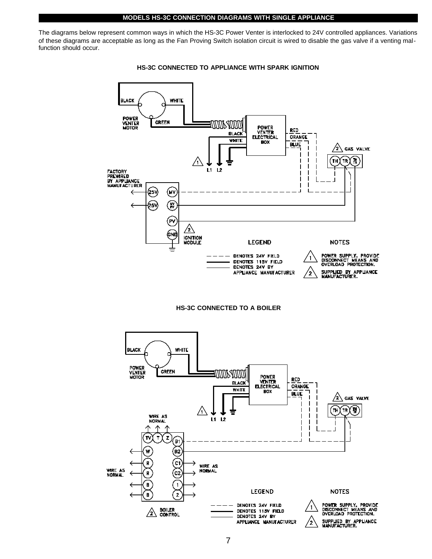#### **MODELS HS-3C CONNECTION DIAGRAMS WITH SINGLE APPLIANCE**

The diagrams below represent common ways in which the HS-3C Power Venter is interlocked to 24V controlled appliances. Variations of these diagrams are acceptable as long as the Fan Proving Switch isolation circuit is wired to disable the gas valve if a venting malfunction should occur.







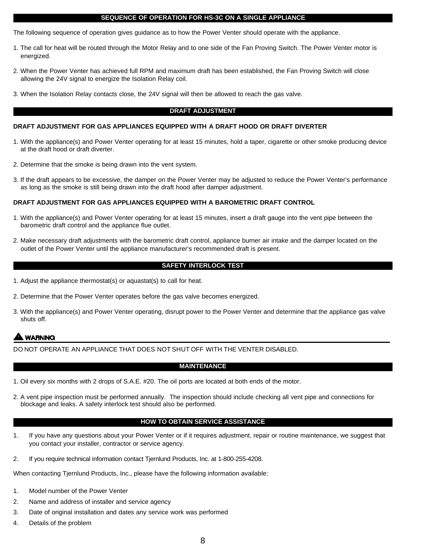## **SEQUENCE OF OPERATION FOR HS-3C ON A SINGLE APPLIANCE**

The following sequence of operation gives guidance as to how the Power Venter should operate with the appliance.

- 1. The call for heat will be routed through the Motor Relay and to one side of the Fan Proving Switch. The Power Venter motor is energized.
- 2. When the Power Venter has achieved full RPM and maximum draft has been established, the Fan Proving Switch will close allowing the 24V signal to energize the Isolation Relay coil.
- 3. When the Isolation Relay contacts close, the 24V signal will then be allowed to reach the gas valve.

#### **DRAFT ADJUSTMENT**

#### **DRAFT ADJUSTMENT FOR GAS APPLIANCES EQUIPPED WITH A DRAFT HOOD OR DRAFT DIVERTER**

- 1. With the appliance(s) and Power Venter operating for at least 15 minutes, hold a taper, cigarette or other smoke producing device at the draft hood or draft diverter.
- 2. Determine that the smoke is being drawn into the vent system.
- 3. If the draft appears to be excessive, the damper on the Power Venter may be adjusted to reduce the Power Venter's performance as long as the smoke is still being drawn into the draft hood after damper adjustment.

#### **DRAFT ADJUSTMENT FOR GAS APPLIANCES EQUIPPED WITH A BAROMETRIC DRAFT CONTROL**

- 1. With the appliance(s) and Power Venter operating for at least 15 minutes, insert a draft gauge into the vent pipe between the barometric draft control and the appliance flue outlet.
- 2. Make necessary draft adjustments with the barometric draft control, appliance burner air intake and the damper located on the outlet of the Power Venter until the appliance manufacturer's recommended draft is present.

## **SAFETY INTERLOCK TEST**

- 1. Adjust the appliance thermostat(s) or aquastat(s) to call for heat.
- 2. Determine that the Power Venter operates before the gas valve becomes energized.
- 3. With the appliance(s) and Power Venter operating, disrupt power to the Power Venter and determine that the appliance gas valve shuts off.

## **WARNING**

DO NOT OPERATE AN APPLIANCE THAT DOES NOT SHUT OFF WITH THE VENTER DISABLED.

## **MAINTENANCE**

- 1. Oil every six months with 2 drops of S.A.E. #20. The oil ports are located at both ends of the motor.
- 2. A vent pipe inspection must be performed annually. The inspection should include checking all vent pipe and connections for blockage and leaks. A safety interlock test should also be performed.

## **HOW TO OBTAIN SERVICE ASSISTANCE**

- 1. If you have any questions about your Power Venter or if it requires adjustment, repair or routine maintenance, we suggest that you contact your installer, contractor or service agency.
- 2. If you require technical information contact Tjernlund Products, Inc. at 1-800-255-4208.

When contacting Tjernlund Products, Inc., please have the following information available:

- 1. Model number of the Power Venter
- 2. Name and address of installer and service agency
- 3. Date of original installation and dates any service work was performed
- 4. Details of the problem